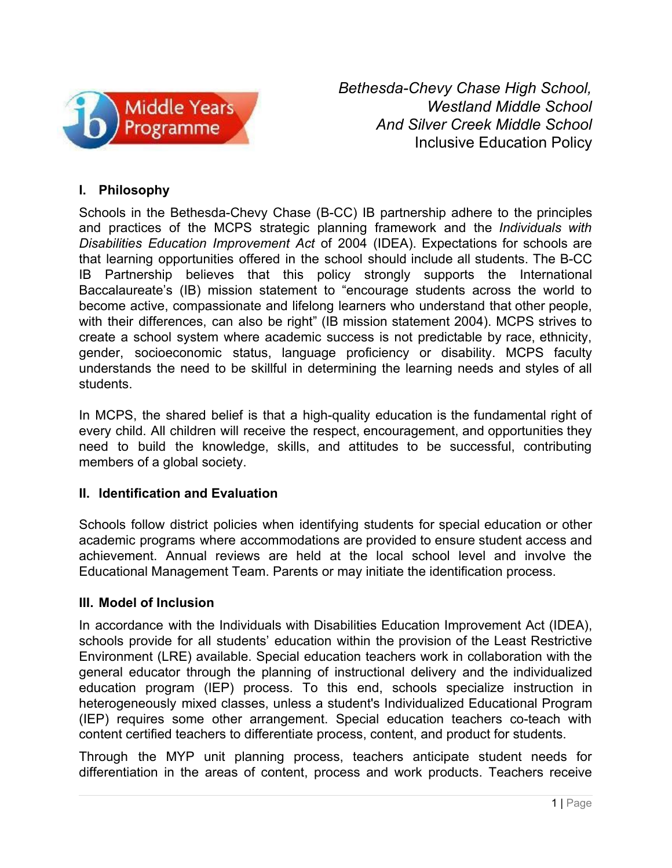

*Bethesda-Chevy Chase High School, Westland Middle School And Silver Creek Middle School* Inclusive Education Policy

## **I. Philosophy**

Schools in the Bethesda-Chevy Chase (B-CC) IB partnership adhere to the principles and practices of the MCPS strategic planning framework and the *Individuals with Disabilities Education Improvement Act* of 2004 (IDEA). Expectations for schools are that learning opportunities offered in the school should include all students. The B-CC IB Partnership believes that this policy strongly supports the International Baccalaureate's (IB) mission statement to "encourage students across the world to become active, compassionate and lifelong learners who understand that other people, with their differences, can also be right" (IB mission statement 2004). MCPS strives to create a school system where academic success is not predictable by race, ethnicity, gender, socioeconomic status, language proficiency or disability. MCPS faculty understands the need to be skillful in determining the learning needs and styles of all students.

In MCPS, the shared belief is that a high-quality education is the fundamental right of every child. All children will receive the respect, encouragement, and opportunities they need to build the knowledge, skills, and attitudes to be successful, contributing members of a global society.

## **II. Identification and Evaluation**

Schools follow district policies when identifying students for special education or other academic programs where accommodations are provided to ensure student access and achievement. Annual reviews are held at the local school level and involve the Educational Management Team. Parents or may initiate the identification process.

## **III. Model of Inclusion**

In accordance with the Individuals with Disabilities Education Improvement Act (IDEA), schools provide for all students' education within the provision of the Least Restrictive Environment (LRE) available. Special education teachers work in collaboration with the general educator through the planning of instructional delivery and the individualized education program (IEP) process. To this end, schools specialize instruction in heterogeneously mixed classes, unless a student's Individualized Educational Program (IEP) requires some other arrangement. Special education teachers co-teach with content certified teachers to differentiate process, content, and product for students.

Through the MYP unit planning process, teachers anticipate student needs for differentiation in the areas of content, process and work products. Teachers receive